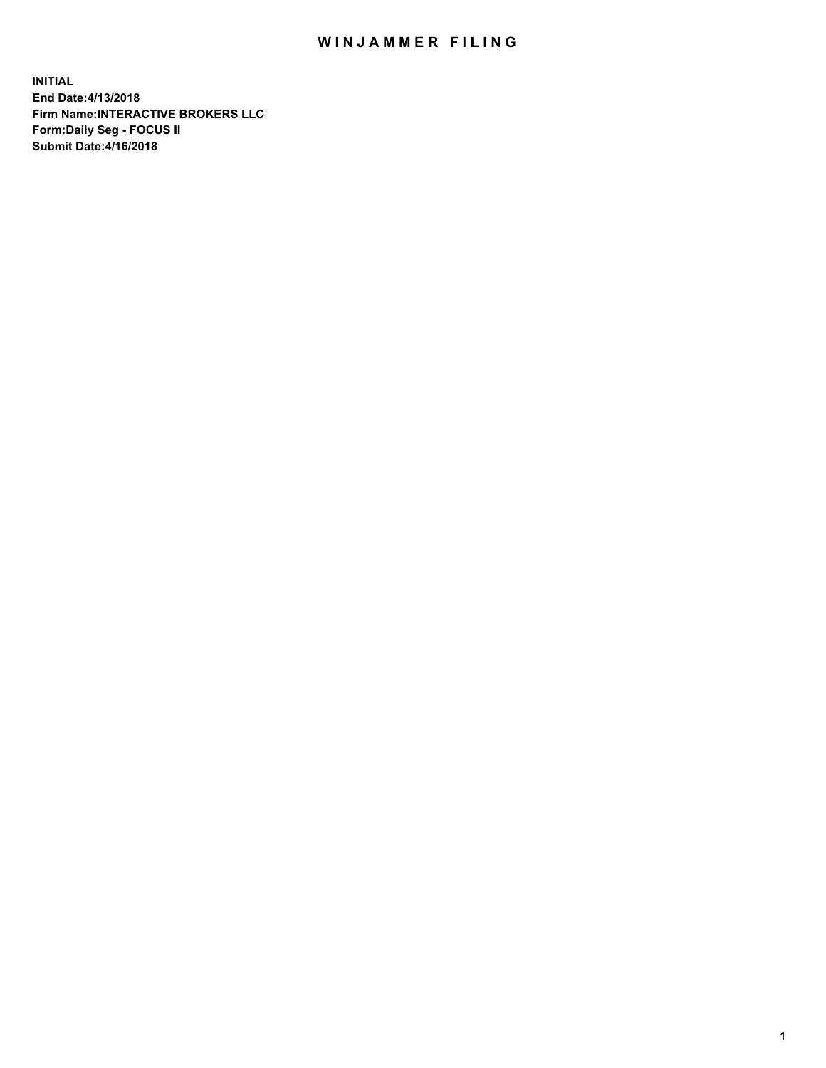## WIN JAMMER FILING

**INITIAL End Date:4/13/2018 Firm Name:INTERACTIVE BROKERS LLC Form:Daily Seg - FOCUS II Submit Date:4/16/2018**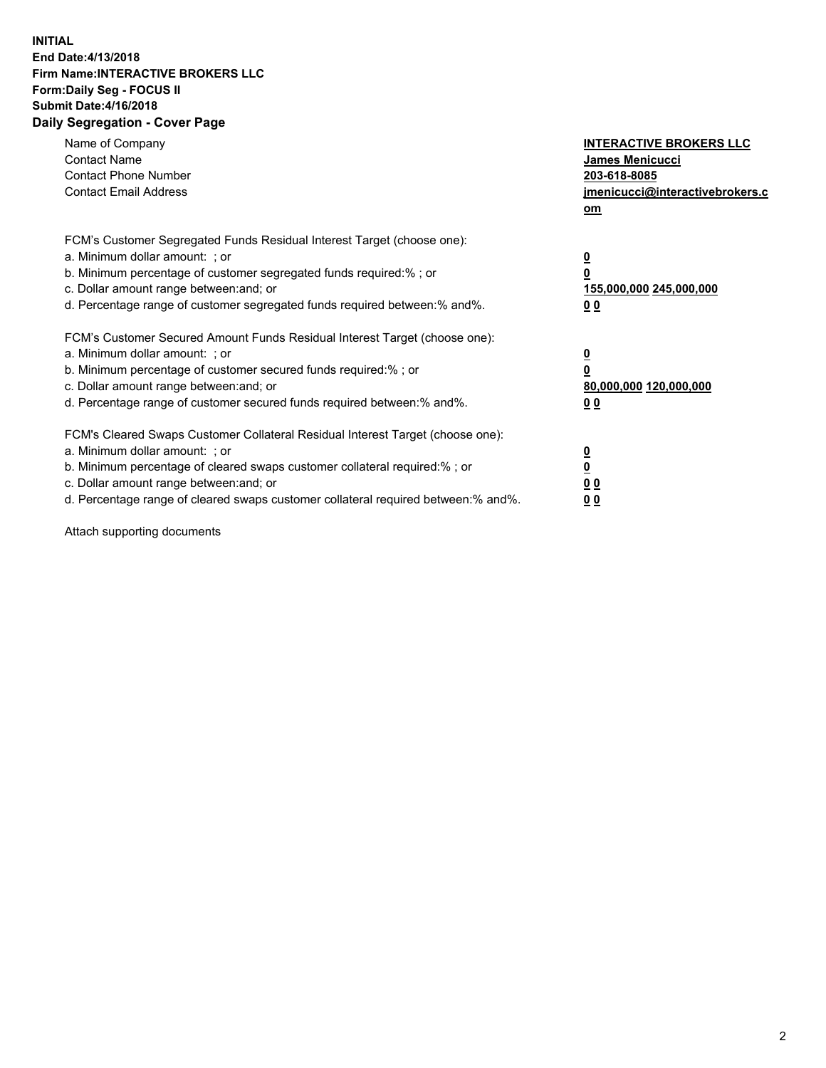## **INITIAL End Date:4/13/2018 Firm Name:INTERACTIVE BROKERS LLC Form:Daily Seg - FOCUS II Submit Date:4/16/2018 Daily Segregation - Cover Page**

| Name of Company<br><b>Contact Name</b><br><b>Contact Phone Number</b><br><b>Contact Email Address</b>                                                                                                                                                                                                                          | <b>INTERACTIVE BROKERS LLC</b><br><b>James Menicucci</b><br>203-618-8085<br>jmenicucci@interactivebrokers.c<br>om |
|--------------------------------------------------------------------------------------------------------------------------------------------------------------------------------------------------------------------------------------------------------------------------------------------------------------------------------|-------------------------------------------------------------------------------------------------------------------|
| FCM's Customer Segregated Funds Residual Interest Target (choose one):<br>a. Minimum dollar amount: ; or<br>b. Minimum percentage of customer segregated funds required:% ; or<br>c. Dollar amount range between: and; or<br>d. Percentage range of customer segregated funds required between: % and %.                       | $\overline{\mathbf{0}}$<br>0<br>155,000,000 245,000,000<br>00                                                     |
| FCM's Customer Secured Amount Funds Residual Interest Target (choose one):<br>a. Minimum dollar amount: ; or<br>b. Minimum percentage of customer secured funds required:%; or<br>c. Dollar amount range between: and; or<br>d. Percentage range of customer secured funds required between: % and %.                          | $\overline{\mathbf{0}}$<br>0<br>80,000,000 120,000,000<br>00                                                      |
| FCM's Cleared Swaps Customer Collateral Residual Interest Target (choose one):<br>a. Minimum dollar amount: ; or<br>b. Minimum percentage of cleared swaps customer collateral required:% ; or<br>c. Dollar amount range between: and; or<br>d. Percentage range of cleared swaps customer collateral required between:% and%. | $\overline{\mathbf{0}}$<br>$\overline{\mathbf{0}}$<br>00<br>0 <sub>0</sub>                                        |

Attach supporting documents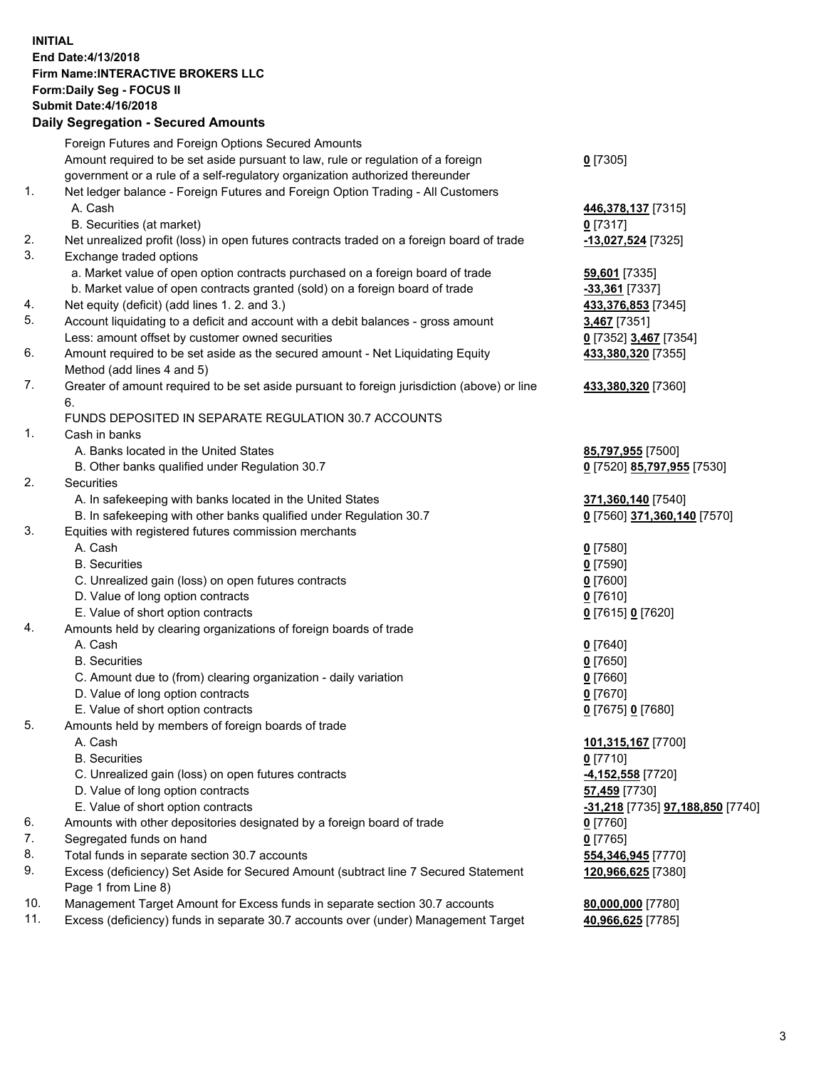## **INITIAL End Date:4/13/2018 Firm Name:INTERACTIVE BROKERS LLC Form:Daily Seg - FOCUS II Submit Date:4/16/2018 Daily Segregation - Secured Amounts**

|                | Daily Ocglegation - Occuled Amounts                                                         |                                  |
|----------------|---------------------------------------------------------------------------------------------|----------------------------------|
|                | Foreign Futures and Foreign Options Secured Amounts                                         |                                  |
|                | Amount required to be set aside pursuant to law, rule or regulation of a foreign            | $0$ [7305]                       |
|                | government or a rule of a self-regulatory organization authorized thereunder                |                                  |
| 1.             | Net ledger balance - Foreign Futures and Foreign Option Trading - All Customers             |                                  |
|                | A. Cash                                                                                     | 446,378,137 [7315]               |
|                | B. Securities (at market)                                                                   | $0$ [7317]                       |
| 2.             | Net unrealized profit (loss) in open futures contracts traded on a foreign board of trade   | -13,027,524 [7325]               |
| 3.             | Exchange traded options                                                                     |                                  |
|                | a. Market value of open option contracts purchased on a foreign board of trade              | 59,601 [7335]                    |
|                | b. Market value of open contracts granted (sold) on a foreign board of trade                | -33,361 [7337]                   |
| 4.             | Net equity (deficit) (add lines 1.2. and 3.)                                                | 433,376,853 [7345]               |
| 5.             | Account liquidating to a deficit and account with a debit balances - gross amount           | 3,467 [7351]                     |
|                | Less: amount offset by customer owned securities                                            | 0 [7352] 3,467 [7354]            |
| 6.             | Amount required to be set aside as the secured amount - Net Liquidating Equity              | 433,380,320 [7355]               |
|                | Method (add lines 4 and 5)                                                                  |                                  |
| 7.             | Greater of amount required to be set aside pursuant to foreign jurisdiction (above) or line | 433,380,320 [7360]               |
|                | 6.                                                                                          |                                  |
|                | FUNDS DEPOSITED IN SEPARATE REGULATION 30.7 ACCOUNTS                                        |                                  |
| $\mathbf{1}$ . | Cash in banks                                                                               |                                  |
|                | A. Banks located in the United States                                                       | 85,797,955 [7500]                |
|                | B. Other banks qualified under Regulation 30.7                                              | 0 [7520] 85,797,955 [7530]       |
| 2.             | Securities                                                                                  |                                  |
|                | A. In safekeeping with banks located in the United States                                   | 371,360,140 [7540]               |
|                | B. In safekeeping with other banks qualified under Regulation 30.7                          | 0 [7560] 371,360,140 [7570]      |
| 3.             | Equities with registered futures commission merchants                                       |                                  |
|                | A. Cash                                                                                     | $0$ [7580]                       |
|                | <b>B.</b> Securities                                                                        | $0$ [7590]                       |
|                | C. Unrealized gain (loss) on open futures contracts                                         | $0$ [7600]                       |
|                | D. Value of long option contracts                                                           | $0$ [7610]                       |
|                | E. Value of short option contracts                                                          | 0 [7615] 0 [7620]                |
| 4.             | Amounts held by clearing organizations of foreign boards of trade                           |                                  |
|                | A. Cash                                                                                     | $0$ [7640]                       |
|                | <b>B.</b> Securities                                                                        | $0$ [7650]                       |
|                | C. Amount due to (from) clearing organization - daily variation                             | $0$ [7660]                       |
|                | D. Value of long option contracts                                                           | $0$ [7670]                       |
|                | E. Value of short option contracts                                                          | 0 [7675] 0 [7680]                |
| 5.             | Amounts held by members of foreign boards of trade                                          |                                  |
|                | A. Cash                                                                                     | 101,315,167 [7700]               |
|                | <b>B.</b> Securities                                                                        | $0$ [7710]                       |
|                | C. Unrealized gain (loss) on open futures contracts                                         | 4,152,558 [7720]                 |
|                | D. Value of long option contracts                                                           | 57,459 [7730]                    |
|                | E. Value of short option contracts                                                          | -31,218 [7735] 97,188,850 [7740] |
| 6.             | Amounts with other depositories designated by a foreign board of trade                      | $0$ [7760]                       |
| 7.             | Segregated funds on hand                                                                    | $0$ [7765]                       |
| 8.             | Total funds in separate section 30.7 accounts                                               | 554,346,945 [7770]               |
| 9.             | Excess (deficiency) Set Aside for Secured Amount (subtract line 7 Secured Statement         | 120,966,625 [7380]               |
|                | Page 1 from Line 8)                                                                         |                                  |
| 10.            | Management Target Amount for Excess funds in separate section 30.7 accounts                 | 80,000,000 [7780]                |
| 11.            | Excess (deficiency) funds in separate 30.7 accounts over (under) Management Target          | 40,966,625 [7785]                |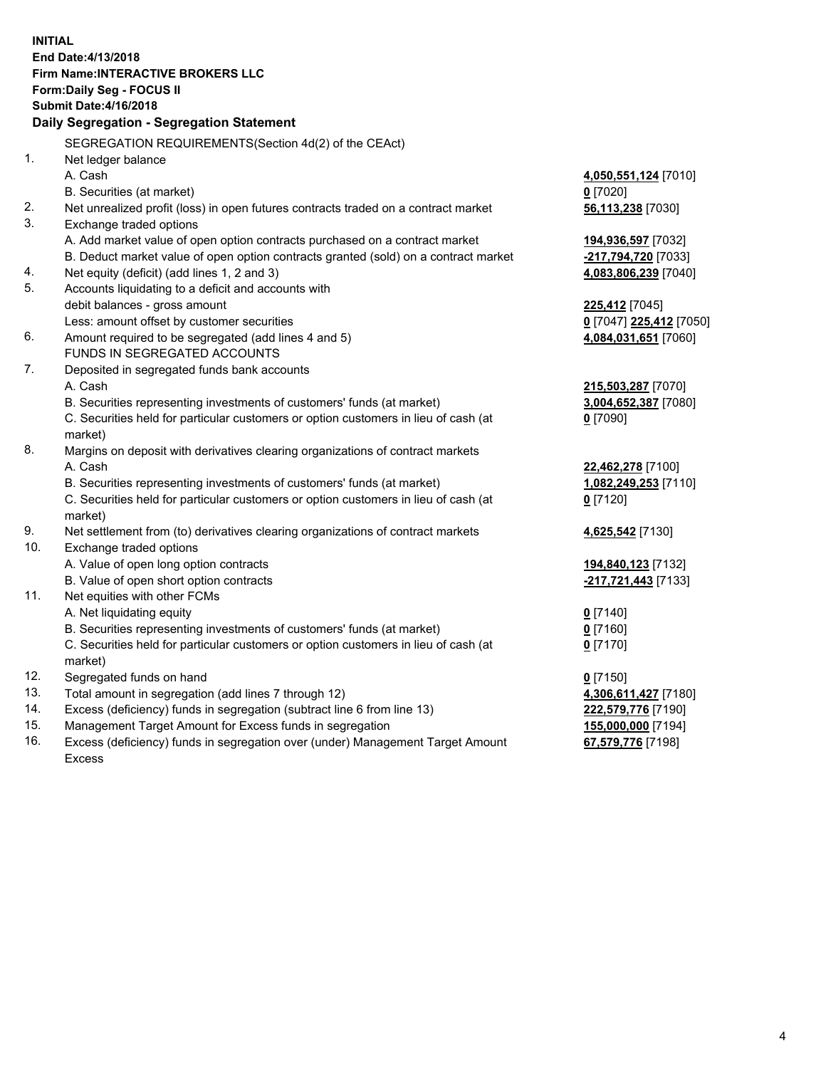**INITIAL End Date:4/13/2018 Firm Name:INTERACTIVE BROKERS LLC Form:Daily Seg - FOCUS II Submit Date:4/16/2018 Daily Segregation - Segregation Statement** SEGREGATION REQUIREMENTS(Section 4d(2) of the CEAct) 1. Net ledger balance A. Cash **4,050,551,124** [7010] B. Securities (at market) **0** [7020] 2. Net unrealized profit (loss) in open futures contracts traded on a contract market **56,113,238** [7030] 3. Exchange traded options A. Add market value of open option contracts purchased on a contract market **194,936,597** [7032] B. Deduct market value of open option contracts granted (sold) on a contract market **-217,794,720** [7033] 4. Net equity (deficit) (add lines 1, 2 and 3) **4,083,806,239** [7040] 5. Accounts liquidating to a deficit and accounts with debit balances - gross amount **225,412** [7045] Less: amount offset by customer securities **0** [7047] **225,412** [7050] 6. Amount required to be segregated (add lines 4 and 5) **4,084,031,651** [7060] FUNDS IN SEGREGATED ACCOUNTS 7. Deposited in segregated funds bank accounts A. Cash **215,503,287** [7070] B. Securities representing investments of customers' funds (at market) **3,004,652,387** [7080] C. Securities held for particular customers or option customers in lieu of cash (at market) **0** [7090] 8. Margins on deposit with derivatives clearing organizations of contract markets A. Cash **22,462,278** [7100] B. Securities representing investments of customers' funds (at market) **1,082,249,253** [7110] C. Securities held for particular customers or option customers in lieu of cash (at market) **0** [7120] 9. Net settlement from (to) derivatives clearing organizations of contract markets **4,625,542** [7130] 10. Exchange traded options A. Value of open long option contracts **194,840,123** [7132] B. Value of open short option contracts **-217,721,443** [7133] 11. Net equities with other FCMs A. Net liquidating equity **0** [7140] B. Securities representing investments of customers' funds (at market) **0** [7160] C. Securities held for particular customers or option customers in lieu of cash (at market) **0** [7170] 12. Segregated funds on hand **0** [7150] 13. Total amount in segregation (add lines 7 through 12) **4,306,611,427** [7180] 14. Excess (deficiency) funds in segregation (subtract line 6 from line 13) **222,579,776** [7190] 15. Management Target Amount for Excess funds in segregation **155,000,000** [7194]

16. Excess (deficiency) funds in segregation over (under) Management Target Amount Excess

**67,579,776** [7198]